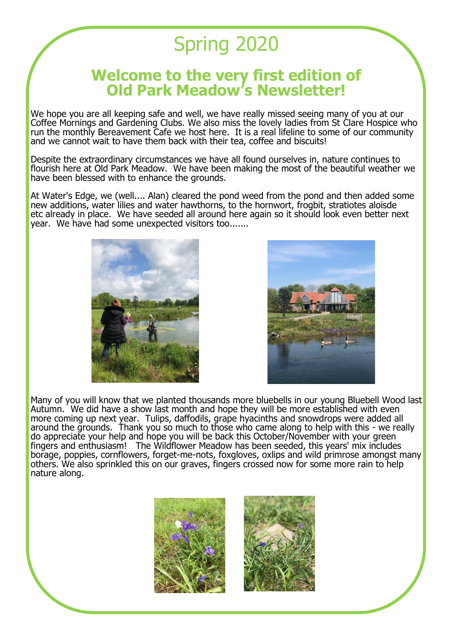## Spring 2020

## **Welcome to the very first edition of Old Park Meadow's Newsletter!**

We hope you are all keeping safe and well, we have really missed seeing many of you at our Coffee Mornings and Gardening Clubs. We also miss the lovely ladies from St Clare Hospice who run the monthly Bereavement Cafe we host here. It is a real lifeline to some of our community and we cannot wait to have them back with their tea, coffee and biscuits!

Despite the extraordinary circumstances we have all found ourselves in, nature continues to flourish here at Old Park Meadow. We have been making the most of the beautiful weather we have been blessed with to enhance the grounds.

At Water's Edge, we (well.... Alan) cleared the pond weed from the pond and then added some new additions, water lilies and water hawthorns, to the hornwort, frogbit, stratiotes aloisde etc already in place. We have seeded all around here again so it should look even better next year. We have had some unexpected visitors too.......





Many of you will know that we planted thousands more bluebells in our young Bluebell Wood last Autumn. We did have a show last month and hope they will be more established with even more coming up next year. Tulips, daffodils, grape hyacinths and snowdrops were added all around the grounds. Thank you so much to those who came along to help with this - we really do appreciate your help and hope you will be back this October/November with your green fingers and enthusiasm! The Wildflower Meadow has been seeded, this years' mix includes borage, poppies, cornflowers, forget-me-nots, foxgloves, oxlips and wild primrose amongst many others. We also sprinkled this on our graves, fingers crossed now for some more rain to help nature along.